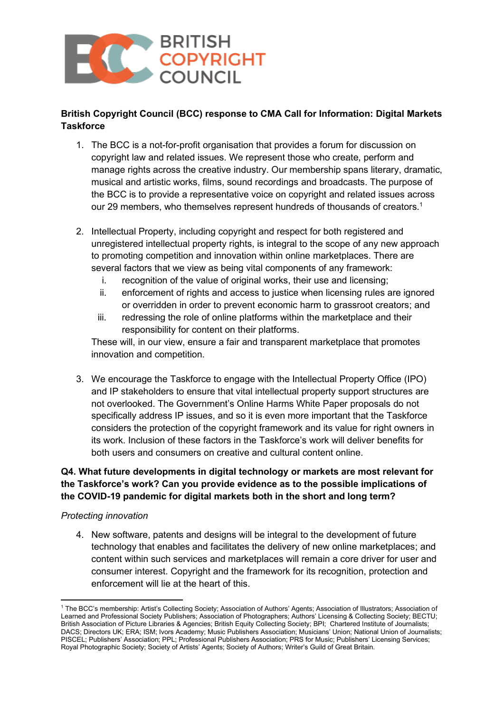

# **British Copyright Council (BCC) response to CMA Call for Information: Digital Markets Taskforce**

- 1. The BCC is a not-for-profit organisation that provides a forum for discussion on copyright law and related issues. We represent those who create, perform and manage rights across the creative industry. Our membership spans literary, dramatic, musical and artistic works, films, sound recordings and broadcasts. The purpose of the BCC is to provide a representative voice on copyright and related issues across our 29 members, who themselves represent hundreds of thousands of creators.<sup>1</sup>
- 2. Intellectual Property, including copyright and respect for both registered and unregistered intellectual property rights, is integral to the scope of any new approach to promoting competition and innovation within online marketplaces. There are several factors that we view as being vital components of any framework:
	- i. recognition of the value of original works, their use and licensing;
	- ii. enforcement of rights and access to justice when licensing rules are ignored or overridden in order to prevent economic harm to grassroot creators; and
	- iii. redressing the role of online platforms within the marketplace and their responsibility for content on their platforms.

These will, in our view, ensure a fair and transparent marketplace that promotes innovation and competition.

3. We encourage the Taskforce to engage with the Intellectual Property Office (IPO) and IP stakeholders to ensure that vital intellectual property support structures are not overlooked. The Government's Online Harms White Paper proposals do not specifically address IP issues, and so it is even more important that the Taskforce considers the protection of the copyright framework and its value for right owners in its work. Inclusion of these factors in the Taskforce's work will deliver benefits for both users and consumers on creative and cultural content online.

# **Q4. What future developments in digital technology or markets are most relevant for the Taskforce's work? Can you provide evidence as to the possible implications of the COVID-19 pandemic for digital markets both in the short and long term?**

#### *Protecting innovation*

4. New software, patents and designs will be integral to the development of future technology that enables and facilitates the delivery of new online marketplaces; and content within such services and marketplaces will remain a core driver for user and consumer interest. Copyright and the framework for its recognition, protection and enforcement will lie at the heart of this.

<sup>1</sup> The BCC's membership: Artist's Collecting Society; Association of Authors' Agents; Association of Illustrators; Association of Learned and Professional Society Publishers; Association of Photographers; Authors' Licensing & Collecting Society; BECTU; British Association of Picture Libraries & Agencies; British Equity Collecting Society; BPI; Chartered Institute of Journalists; DACS; Directors UK; ERA; ISM; Ivors Academy; Music Publishers Association; Musicians' Union; National Union of Journalists; PISCEL; Publishers' Association; PPL; Professional Publishers Association; PRS for Music; Publishers' Licensing Services; Royal Photographic Society; Society of Artists' Agents; Society of Authors; Writer's Guild of Great Britain.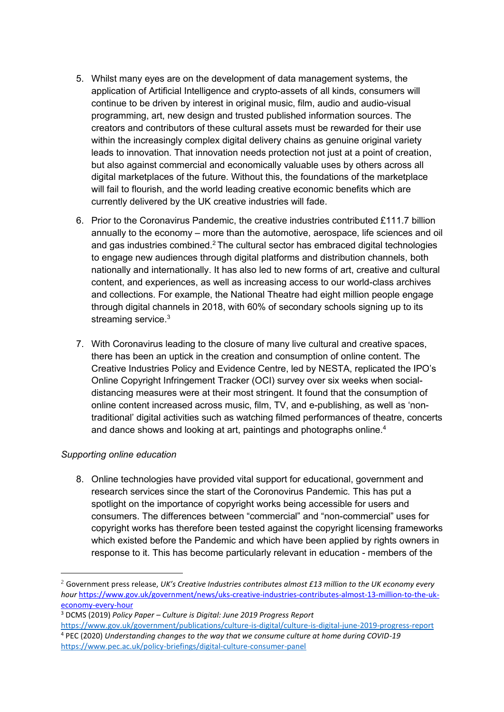- 5. Whilst many eyes are on the development of data management systems, the application of Artificial Intelligence and crypto-assets of all kinds, consumers will continue to be driven by interest in original music, film, audio and audio-visual programming, art, new design and trusted published information sources. The creators and contributors of these cultural assets must be rewarded for their use within the increasingly complex digital delivery chains as genuine original variety leads to innovation. That innovation needs protection not just at a point of creation, but also against commercial and economically valuable uses by others across all digital marketplaces of the future. Without this, the foundations of the marketplace will fail to flourish, and the world leading creative economic benefits which are currently delivered by the UK creative industries will fade.
- 6. Prior to the Coronavirus Pandemic, the creative industries contributed £111.7 billion annually to the economy – more than the automotive, aerospace, life sciences and oil and gas industries combined.<sup>2</sup> The cultural sector has embraced digital technologies to engage new audiences through digital platforms and distribution channels, both nationally and internationally. It has also led to new forms of art, creative and cultural content, and experiences, as well as increasing access to our world-class archives and collections. For example, the National Theatre had eight million people engage through digital channels in 2018, with 60% of secondary schools signing up to its streaming service.<sup>3</sup>
- 7. With Coronavirus leading to the closure of many live cultural and creative spaces, there has been an uptick in the creation and consumption of online content. The Creative Industries Policy and Evidence Centre, led by NESTA, replicated the IPO's Online Copyright Infringement Tracker (OCI) survey over six weeks when socialdistancing measures were at their most stringent. It found that the consumption of online content increased across music, film, TV, and e-publishing, as well as 'nontraditional' digital activities such as watching filmed performances of theatre, concerts and dance shows and looking at art, paintings and photographs online.<sup>4</sup>

## *Supporting online education*

8. Online technologies have provided vital support for educational, government and research services since the start of the Coronovirus Pandemic. This has put a spotlight on the importance of copyright works being accessible for users and consumers. The differences between "commercial" and "non-commercial" uses for copyright works has therefore been tested against the copyright licensing frameworks which existed before the Pandemic and which have been applied by rights owners in response to it. This has become particularly relevant in education - members of the

<sup>2</sup> Government press release, *UK's Creative Industries contributes almost £13 million to the UK economy every hour* [https://www.gov.uk/government/news/uks-creative-industries-contributes-almost-13-million-to-the-uk](https://www.gov.uk/government/news/uks-creative-industries-contributes-almost-13-million-to-the-uk-economy-every-hour)[economy-every-hour](https://www.gov.uk/government/news/uks-creative-industries-contributes-almost-13-million-to-the-uk-economy-every-hour)

<sup>3</sup> DCMS (2019) *Policy Paper – Culture is Digital: June 2019 Progress Report* 

<https://www.gov.uk/government/publications/culture-is-digital/culture-is-digital-june-2019-progress-report> <sup>4</sup> PEC (2020) *Understanding changes to the way that we consume culture at home during COVID-19*  <https://www.pec.ac.uk/policy-briefings/digital-culture-consumer-panel>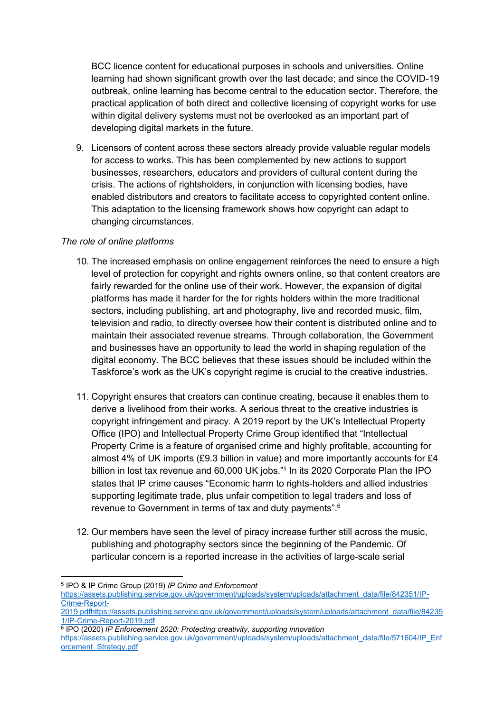BCC licence content for educational purposes in schools and universities. Online learning had shown significant growth over the last decade; and since the COVID-19 outbreak, online learning has become central to the education sector. Therefore, the practical application of both direct and collective licensing of copyright works for use within digital delivery systems must not be overlooked as an important part of developing digital markets in the future.

9. Licensors of content across these sectors already provide valuable regular models for access to works. This has been complemented by new actions to support businesses, researchers, educators and providers of cultural content during the crisis. The actions of rightsholders, in conjunction with licensing bodies, have enabled distributors and creators to facilitate access to copyrighted content online. This adaptation to the licensing framework shows how copyright can adapt to changing circumstances.

### *The role of online platforms*

- 10. The increased emphasis on online engagement reinforces the need to ensure a high level of protection for copyright and rights owners online, so that content creators are fairly rewarded for the online use of their work. However, the expansion of digital platforms has made it harder for the for rights holders within the more traditional sectors, including publishing, art and photography, live and recorded music, film, television and radio, to directly oversee how their content is distributed online and to maintain their associated revenue streams. Through collaboration, the Government and businesses have an opportunity to lead the world in shaping regulation of the digital economy. The BCC believes that these issues should be included within the Taskforce's work as the UK's copyright regime is crucial to the creative industries.
- 11. Copyright ensures that creators can continue creating, because it enables them to derive a livelihood from their works. A serious threat to the creative industries is copyright infringement and piracy. A 2019 report by the UK's Intellectual Property Office (IPO) and Intellectual Property Crime Group identified that "Intellectual Property Crime is a feature of organised crime and highly profitable, accounting for almost 4% of UK imports (£9.3 billion in value) and more importantly accounts for £4 billion in lost tax revenue and 60,000 UK jobs."<sup>5</sup> In its 2020 Corporate Plan the IPO states that IP crime causes "Economic harm to rights-holders and allied industries supporting legitimate trade, plus unfair competition to legal traders and loss of revenue to Government in terms of tax and duty payments".<sup>6</sup>
- 12. Our members have seen the level of piracy increase further still across the music, publishing and photography sectors since the beginning of the Pandemic. Of particular concern is a reported increase in the activities of large-scale serial

<sup>5</sup> IPO & IP Crime Group (2019) *IP Crime and Enforcement* 

[https://assets.publishing.service.gov.uk/government/uploads/system/uploads/attachment\\_data/file/842351/IP-](https://assets.publishing.service.gov.uk/government/uploads/system/uploads/attachment_data/file/842351/IP-Crime-Report-2019.pdf)[Crime-Report-](https://assets.publishing.service.gov.uk/government/uploads/system/uploads/attachment_data/file/842351/IP-Crime-Report-2019.pdf)

[<sup>2019.</sup>pdfhttps://assets.publishing.service.gov.uk/government/uploads/system/uploads/attachment\\_data/file/84235](https://assets.publishing.service.gov.uk/government/uploads/system/uploads/attachment_data/file/842351/IP-Crime-Report-2019.pdf) [1/IP-Crime-Report-2019.pdf](https://assets.publishing.service.gov.uk/government/uploads/system/uploads/attachment_data/file/842351/IP-Crime-Report-2019.pdf)

<sup>6</sup> IPO (2020) *IP Enforcement 2020: Protecting creativity, supporting innovation* 

[https://assets.publishing.service.gov.uk/government/uploads/system/uploads/attachment\\_data/file/571604/IP\\_Enf](https://assets.publishing.service.gov.uk/government/uploads/system/uploads/attachment_data/file/571604/IP_Enforcement_Strategy.pdf) [orcement\\_Strategy.pdf](https://assets.publishing.service.gov.uk/government/uploads/system/uploads/attachment_data/file/571604/IP_Enforcement_Strategy.pdf)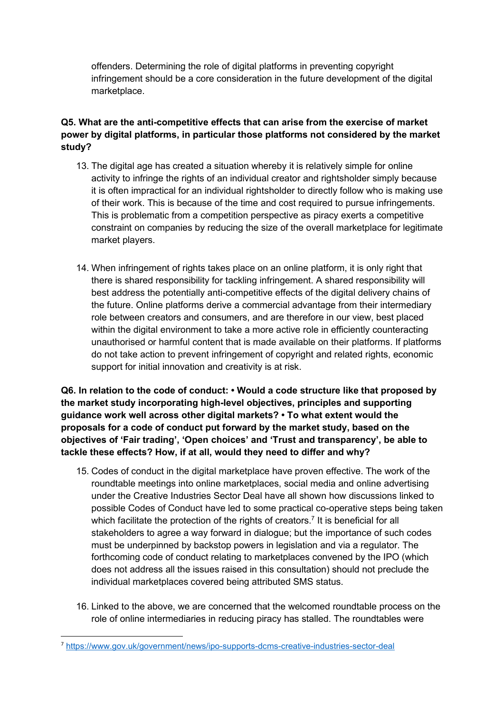offenders. Determining the role of digital platforms in preventing copyright infringement should be a core consideration in the future development of the digital marketplace.

# **Q5. What are the anti-competitive effects that can arise from the exercise of market power by digital platforms, in particular those platforms not considered by the market study?**

- 13. The digital age has created a situation whereby it is relatively simple for online activity to infringe the rights of an individual creator and rightsholder simply because it is often impractical for an individual rightsholder to directly follow who is making use of their work. This is because of the time and cost required to pursue infringements. This is problematic from a competition perspective as piracy exerts a competitive constraint on companies by reducing the size of the overall marketplace for legitimate market players.
- 14. When infringement of rights takes place on an online platform, it is only right that there is shared responsibility for tackling infringement. A shared responsibility will best address the potentially anti-competitive effects of the digital delivery chains of the future. Online platforms derive a commercial advantage from their intermediary role between creators and consumers, and are therefore in our view, best placed within the digital environment to take a more active role in efficiently counteracting unauthorised or harmful content that is made available on their platforms. If platforms do not take action to prevent infringement of copyright and related rights, economic support for initial innovation and creativity is at risk.

**Q6. In relation to the code of conduct: • Would a code structure like that proposed by the market study incorporating high-level objectives, principles and supporting guidance work well across other digital markets? • To what extent would the proposals for a code of conduct put forward by the market study, based on the objectives of 'Fair trading', 'Open choices' and 'Trust and transparency', be able to tackle these effects? How, if at all, would they need to differ and why?**

- 15. Codes of conduct in the digital marketplace have proven effective. The work of the roundtable meetings into online marketplaces, social media and online advertising under the Creative Industries Sector Deal have all shown how discussions linked to possible Codes of Conduct have led to some practical co-operative steps being taken which facilitate the protection of the rights of creators.<sup>7</sup> It is beneficial for all stakeholders to agree a way forward in dialogue; but the importance of such codes must be underpinned by backstop powers in legislation and via a regulator. The forthcoming code of conduct relating to marketplaces convened by the IPO (which does not address all the issues raised in this consultation) should not preclude the individual marketplaces covered being attributed SMS status.
- 16. Linked to the above, we are concerned that the welcomed roundtable process on the role of online intermediaries in reducing piracy has stalled. The roundtables were

<sup>7</sup> <https://www.gov.uk/government/news/ipo-supports-dcms-creative-industries-sector-deal>